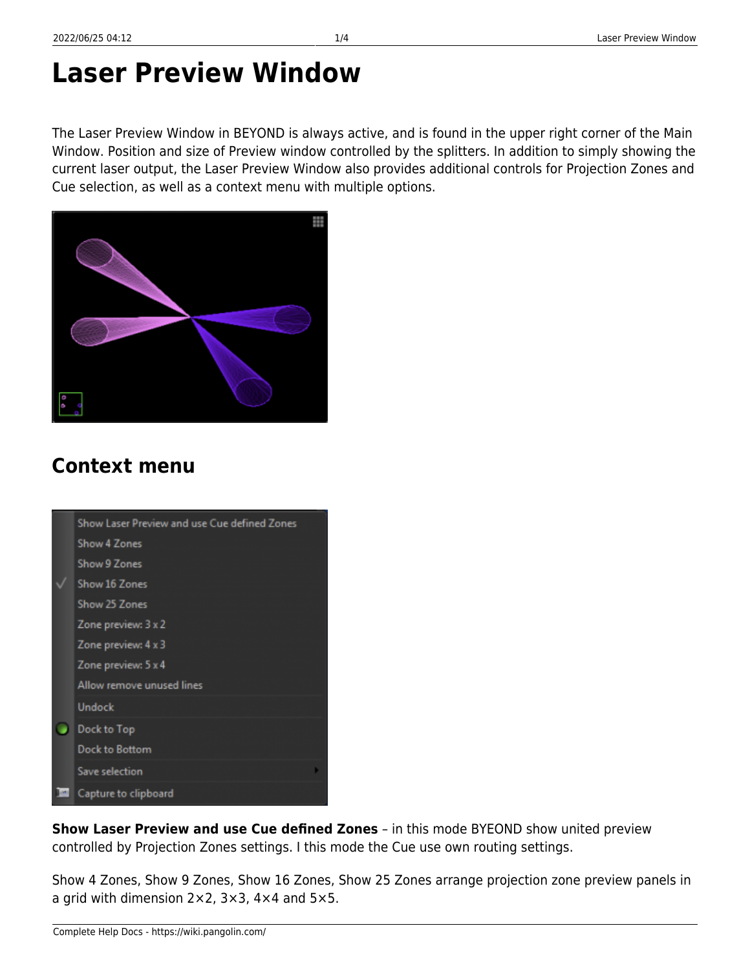# **Laser Preview Window**

The Laser Preview Window in BEYOND is always active, and is found in the upper right corner of the Main Window. Position and size of Preview window controlled by the splitters. In addition to simply showing the current laser output, the Laser Preview Window also provides additional controls for Projection Zones and Cue selection, as well as a context menu with multiple options.



## **Context menu**

| Show Laser Preview and use Cue defined Zones |
|----------------------------------------------|
| Show 4 Zones                                 |
| <b>Show 9 Zones</b>                          |
| Show 16 Zones                                |
| Show 25 Zones                                |
| Zone preview: 3 x 2                          |
| Zone preview: 4 x 3                          |
| Zone preview: 5 x 4                          |
| Allow remove unused lines                    |
| Undock                                       |
| Dock to Top                                  |
| Dock to Bottom                               |
| Save selection                               |
| Capture to clipboard                         |

**Show Laser Preview and use Cue defined Zones** – in this mode BYEOND show united preview controlled by Projection Zones settings. I this mode the Cue use own routing settings.

Show 4 Zones, Show 9 Zones, Show 16 Zones, Show 25 Zones arrange projection zone preview panels in a grid with dimension 2×2, 3×3, 4×4 and 5×5.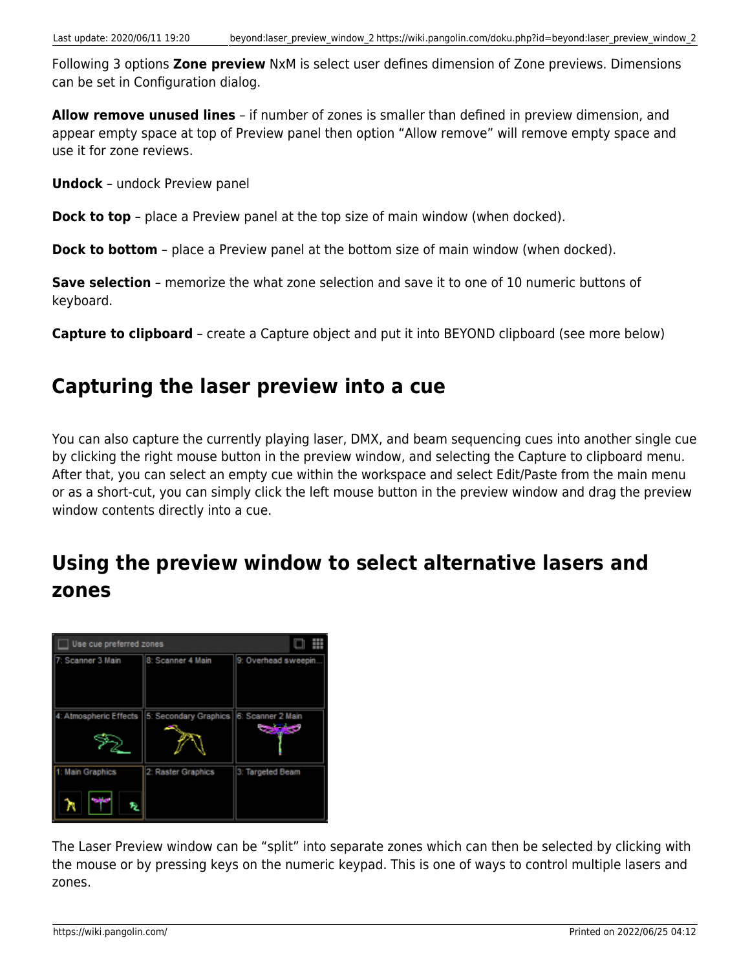Following 3 options **Zone preview** NxM is select user defines dimension of Zone previews. Dimensions can be set in Configuration dialog.

**Allow remove unused lines** – if number of zones is smaller than defined in preview dimension, and appear empty space at top of Preview panel then option "Allow remove" will remove empty space and use it for zone reviews.

**Undock** – undock Preview panel

**Dock to top** – place a Preview panel at the top size of main window (when docked).

**Dock to bottom** – place a Preview panel at the bottom size of main window (when docked).

**Save selection** – memorize the what zone selection and save it to one of 10 numeric buttons of keyboard.

**Capture to clipboard** – create a Capture object and put it into BEYOND clipboard (see more below)

#### **Capturing the laser preview into a cue**

You can also capture the currently playing laser, DMX, and beam sequencing cues into another single cue by clicking the right mouse button in the preview window, and selecting the Capture to clipboard menu. After that, you can select an empty cue within the workspace and select Edit/Paste from the main menu or as a short-cut, you can simply click the left mouse button in the preview window and drag the preview window contents directly into a cue.

## **Using the preview window to select alternative lasers and zones**



The Laser Preview window can be "split" into separate zones which can then be selected by clicking with the mouse or by pressing keys on the numeric keypad. This is one of ways to control multiple lasers and zones.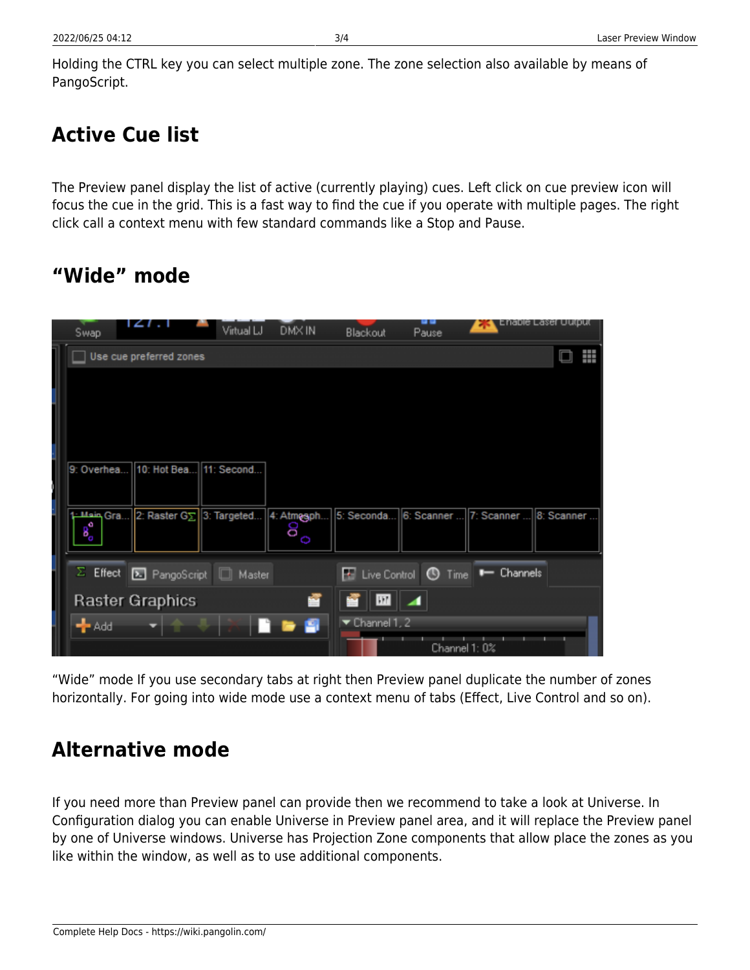Holding the CTRL key you can select multiple zone. The zone selection also available by means of PangoScript.

## **Active Cue list**

The Preview panel display the list of active (currently playing) cues. Left click on cue preview icon will focus the cue in the grid. This is a fast way to find the cue if you operate with multiple pages. The right click call a context menu with few standard commands like a Stop and Pause.

#### **"Wide" mode**

|                         | Swap                |                        | Virtual LJ                       | DMX IN     | Blackout                            | u u<br>Pause | Enable Laser Uutput                |   |
|-------------------------|---------------------|------------------------|----------------------------------|------------|-------------------------------------|--------------|------------------------------------|---|
| Use cue preferred zones |                     |                        |                                  |            |                                     |              |                                    | ₩ |
|                         |                     |                        |                                  |            |                                     |              |                                    |   |
|                         |                     |                        |                                  |            |                                     |              |                                    |   |
|                         |                     |                        |                                  |            |                                     |              |                                    |   |
|                         |                     |                        |                                  |            |                                     |              |                                    |   |
|                         | 9: Overhea          |                        | 10: Hot Bea 11: Second           |            |                                     |              |                                    |   |
|                         |                     |                        |                                  |            |                                     |              |                                    |   |
|                         | 1: Main Gra         |                        | 2: Raster G $\Sigma$ 3: Targeted | 4: Atmesph | 5: Seconda                          |              | 6: Scanner  7: Scanner  8: Scanner |   |
|                         | $B_{\rm o}^{\rm o}$ |                        |                                  | 8<br>O     |                                     |              |                                    |   |
|                         |                     |                        |                                  |            |                                     |              |                                    |   |
|                         | $\Sigma$ Effect     |                        | <b>E.</b> PangoScript   Master   |            | <b>E</b> Live Control <b>O</b> Time |              | $\longleftarrow$ Channels          |   |
|                         |                     | <b>Raster Graphics</b> |                                  | Z          | Ш                                   | ⊩⊿           |                                    |   |
|                         | $+$ Add             |                        |                                  | 9          | $\blacktriangleright$ Channel 1, 2  |              |                                    |   |
|                         |                     |                        |                                  |            |                                     |              | Channel 1: 0%                      |   |

"Wide" mode If you use secondary tabs at right then Preview panel duplicate the number of zones horizontally. For going into wide mode use a context menu of tabs (Effect, Live Control and so on).

#### **Alternative mode**

If you need more than Preview panel can provide then we recommend to take a look at Universe. In Configuration dialog you can enable Universe in Preview panel area, and it will replace the Preview panel by one of Universe windows. Universe has Projection Zone components that allow place the zones as you like within the window, as well as to use additional components.